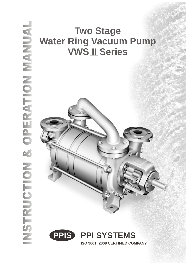# **Two Stage Water Ring Vacuum Pump VWS II Series**



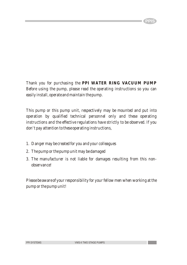*Thank you for purchasing the PPI WATER RING VACUUM PUMP Before using the pump, please read the operating instructions so you can easily install, operate and maintain the pump.*

**PPIS**

*This pump or this pump unit, respectively may be mounted and put into operation by qualified technical personnel only and these operating instructions and the effective regulations have strictly to be observed. If you don't pay attention to these operating instructions,*

- *1. Danger may be created for you and your colleagues*
- *2. The pump or the pump unit may be damaged*
- *3. The manufacturer is not liable for damages resulting from this nonobservance!*

*Please be aware of your responsibility for your fellow men when working at the pump or the pump unit!*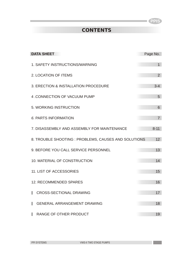**Contract** 

# **CONTENTS**

| <b>DATA SHEET</b>                                    | Page No.       |
|------------------------------------------------------|----------------|
| 1. SAFETY INSTRUCTIONS/WARNING                       | $\overline{1}$ |
| 2. LOCATION OF ITEMS                                 | 2              |
| 3. ERECTION & INSTALLATION PROCEDURE                 | $3 - 4$        |
| 4 .CONNECTION OF VACUUM PUMP                         | 5              |
| 5. WORKING INSTRUCTION                               | 6              |
| 6. PARTS INFORMATION                                 | $\overline{7}$ |
| 7. DISASSEMBLY AND ASSEMBLY FOR MAINTENANCE          | $8 - 11$       |
| 8. TROUBLE SHOOTING : PROBLEMS, CAUSES AND SOLUTIONS | 12             |
| 9. BEFORE YOU CALL SERVICE PERSONNEL                 | 13             |
| <b>10. MATERIAL OF CONSTRUCTION</b>                  | 14             |
| <b>11. LIST OF ACCESSORIES</b>                       | 15             |
| 12. RECOMMENDED SPARES                               | 16             |
| <b>CROSS-SECTIONAL DRAWING</b>                       | 17             |
| <b>GENERAL ARRANGEMENT DRAWING</b><br>ı              | 18             |
| RANGE OF OTHER PRODUCT                               | 19             |

Ī.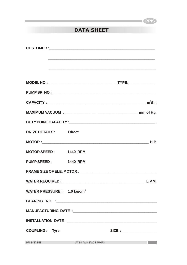# **DATA SHEET**

Ī.

| DRIVE DETAILS: Direct                   |                                                                                                                                                                                                                                      |                           |
|-----------------------------------------|--------------------------------------------------------------------------------------------------------------------------------------------------------------------------------------------------------------------------------------|---------------------------|
|                                         |                                                                                                                                                                                                                                      |                           |
| MOTOR SPEED: 1440 RPM                   |                                                                                                                                                                                                                                      |                           |
| PUMP SPEED: 1440 RPM                    |                                                                                                                                                                                                                                      |                           |
|                                         |                                                                                                                                                                                                                                      |                           |
|                                         |                                                                                                                                                                                                                                      | L.P.M.                    |
| WATER PRESSURE : 1.0 kg/cm <sup>2</sup> |                                                                                                                                                                                                                                      |                           |
|                                         |                                                                                                                                                                                                                                      |                           |
|                                         |                                                                                                                                                                                                                                      |                           |
|                                         |                                                                                                                                                                                                                                      |                           |
| <b>COUPLING: Tyre</b>                   |                                                                                                                                                                                                                                      | SIZE :___________________ |
| PPI SYSTEMS                             | <b>Example 19 And Street Street Street Street Street Street Street Street Street Street Street Street Street Street Street Street Street Street Street Street Street Street Street Street Street Street Street Street Street Str</b> |                           |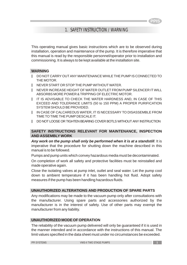### 1. SAFETY INSTRUCTION / WARNING

This operating manual gives basic instructions which are to be observed during installation, operation and maintenance of the pump. It is therefore imperative that this manual is read by the responsible personnel/operator prior to installation and commissioning. It is always to be kept available at the installation site.

### **WARNING**

- DO NOT CARRY OUT ANY MAINTENANCE WHILE THE PUMP IS CONNECTED TO THE MOTOR. y
- NEVER START OR STOP THE PUMP WITHOUT WATER. y
- NEVER INCREASE HEIGHT OF WATER OUTLET FROM PUMP SILENCER IT WILL ABSORBS MORE POWER & TRIPPING OF ELECTRIC MOTOR. y
- IT IS ADVISABLE TO CHECK THE WATER HARDNESS AND, IN CASE OF THIS EXCEED AND TOLERANCE LIMITS (50 to 150 PPM) A PROPER PURIFICATION SYSTEM SHOULD BE PROVIDED. y
- IN CASE OF CALCAREOUS WATER, IT IS NECESSARY TO DISASSEMBLE FROM TIME TO TIME THE PUMP DESCALE IT. y
- DO NOT LOOSE OR TIGHTEN BEARING COVER BOTLS WITHOUT ANY INSTRUCTION y

### **SAFETY INSTRUCTIONS RELEVANT FOR MAINTENANCE, INSPECTION AND ASSEMBLY WORK**

*Any work on the pump shall only be performed when it is at a standstill*. It is imperative that the procedure for shutting down the machine described in this manual is to be followed.

Pumps and pump units which convey hazardous media must be decontaminated.

On completion of work all safety and protective facilities must be reinstalled and made operative again.

Close the isolating valves at pump inlet, outlet and seal water. Let the pump cool down to ambient temperature if it has been handling hot fluid. Adopt safety measures if the pump has been handling hazardous fluids.

### **UNAUTHORIZED ALTERATIONS AND PRODUCTION OF SPARE PARTS**

Any modifications may be made to the vacuum pump only after consultations with the manufacturer. Using spare parts and accessories authorized by the manufacturer is in the interest of safety. Use of other parts may exempt the manufacturer from any liability.

### **UNAUTHORIZED MODE OF OPERATION**

The reliability of the vacuum pump delivered will only be guaranteed if it is used in the manner intended and in accordance with the instructions of this manual. The limit values specified in the data sheet must under no circumstances be exceeded.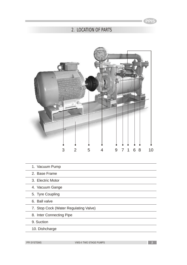T.

### 2. LOCATION OF PARTS



- 1. Vacuum Pump
- 2. Base Frame
- 3. Electric Motor
- 4. Vacuum Gange
- 5. Tyre Coupling
	- 6. Ball valve
- 7. Stop Cock (Water Regulating Valve)
- 8. Inter Connecting Pipe
- 9. Suction
- 10. Dishcharge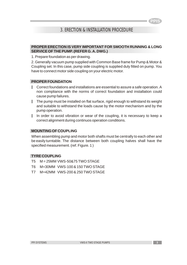### 3. ERECTION & INSTALLATION PROCEDURE

### **PROPER ERECTION IS VERY IMPORTANT FOR SMOOTH RUNNING & LONG SERVICE OF THE PUMP. (REFER G. A. DWG.)**

1. Prepare foundation as per drawing.

2. Generally vacuum pump supplied with Common Base frame for Pump & Motor & Coupling set. In this case, pump side coupling is supplied duly fitted on pump. You have to connect motor side coupling on your electric motor.

#### **PROPER FOUNDATION**

- Correct foundations and installations are essential to assure a safe operation. A non compliance with the norms of correct foundation and installation could cause pump failures.
- I The pump must be installed on flat surface, rigid enough to withstand its weight and suitable to withstand the loads cause by the motor mechanism and by the pump operation.
- In order to avoid vibration or wear of the coupling, it is necessary to keep a correct alignment during continuos operation conditions. y

#### **MOUNTING OF COUPLING**

When assembling pump and motor both shafts must be centrally to each other and be easily turntable. The distance between both coupling halves shall have the specified measurement. (ref. Figure. 1 )

### **TYRE COUPLING**

- T5 M = 25MM VWS-50&75 TWO STAGE
- T6 M=30MM VWS-100 & 150 TWO STAGE
- T7 M=42MM VWS-200 & 250 TWO STAGE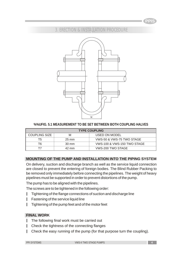

### 3. ERECTION & INSTALLATION PROCEDURE



### **%%UFIG. 5.1 MEASUREMENT TO BE SET BETWEEN BOTH COUPLING HALVES**

| <b>TYPE COUPLING</b> |                 |                             |  |
|----------------------|-----------------|-----------------------------|--|
| COUPLING SIZE        | M               | USED ON MODEL               |  |
| Τ5                   | $25 \text{ mm}$ | VWS-50 & VWS-75 TWO STAGE   |  |
| Т6                   | $30 \text{ mm}$ | VWS-100 & VWS-150 TWO STAGE |  |
|                      | 42 mm           | VWS-200 TWO STAGE           |  |

### **MOUNTING OF THE PUMP AND INSTALLATION INTO THE PIPING SYSTEM**

On delivery, suction and discharge branch as well as the service liquid connection are closed to prevent the entering of foreign bodies. The Blind Rubber Packing to be removed only immediately before connecting the pipelines. The weight of heavy pipelines must be supported in order to prevent distortions of the pump.

The pump has to be aligned with the pipelines.

The screws are to be tightened in the following order:

- Tightening of the flange connections of suction and discharge line ı
- Fastening of the service liquid line y
- Tightening of the pump feet and of the motor feet ı

### **FINAL WORK**

- The following final work must be carried out y
- Check the tightness of the connecting flanges ı
- Check the easy running of the pump (for that purpose turn the coupling). y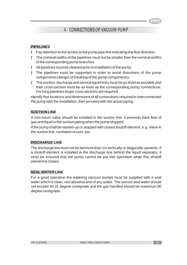### 4. CONNECTIONS OF VACUUM PUMP

### **PIPELINES**

- Pay attention to the arrows at the pump pipe line indicating the flow direction. y
- The nominal widths of the pipelines must not be smaller than the nominal widths of the corresponding pump branches. y
- All pipelines must be cleaned prior to installation of the pump. y
- The pipelines must be supported in order to avoid distortions of the pump components (danger of breaking of the pump components). y
- $\blacksquare$  The suction, discharge and service liquid lines must be as short as possible and their cross-section must be as least as the corresponding pump connections. For long pipelines larger cross sections are required.

identify first locations and dimensions of all connections required to interconnected the pump with the installation, then proceed with the actual piping.

### **SUCTION LINE**

A non-return valve should be installed in the suction line. It prevents back flow of gas and liquid in the suction piping when the pump stopped.

If the pump shall be started-up or stopped with closed shutoff element, e.g. Valve in the suction line, cavitation occurs, too.

### **DISCHARGE LINE**

The discharge line must not be led more than 1m vertically or diagonally upwards. If a shutoff element is installed in the discharge line behind the liquid separator, it must be ensured that the pump cannot be put into operation while this shutoff element is closed.

### **SEAL WATER LINE**

For a good operation the watering vacuum pumps must be supplied with a seal water which is clean, non abrasive and of any solids. The service seal water should not exceed 30.31 degree centigrade and the gas handled should be maximum 90 degree centigrade.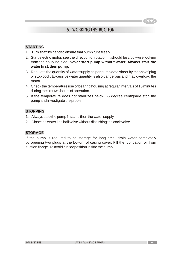### 5. WORKING INSTRUCTION

#### **STARTING**

- 1. Turn shaft by hand to ensure that pump runs freely.
- 2. Start electric motor, see the direction of rotation. It should be clockwise looking from the coupling side. **Never start pump without water, Always start the water first, then pump.**
- 3. Regulate the quantity of water supply as per pump data sheet by means of plug or stop cock. Excessive water quantity is also dangerous and may overload the motor.
- 4. Check the temperature rise of bearing housing at regular intervals of 15 minutes during the first two hours of operation.
- 5. If the temperature does not stabilizes below 65 degree centigrade stop the pump and investigate the problem.

#### **STOPPING**

- 1. Always stop the pump first and then the water supply.
- 2. Close the water line ball valve without disturbing the cock valve.

#### **STORAGE**

If the pump is required to be storage for long time, drain water completely by opening two plugs at the bottom of casing cover. Fill the lubrication oil from suction flange. To avoid rust deposition inside the pump.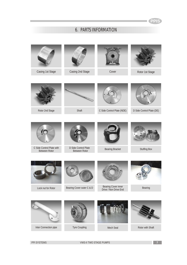### 6. PARTS INFORMATION



**PPI SYSTEMS CONSIDERED ASSESSMENTS CONSIDERED ASSESSMENT OF A SET OF A SET OF A SET OF A SET OF A SET OF A SET OF A SET OF A SET OF A SET OF A SET OF A SET OF A SET OF A SET OF A SET OF A SET OF A SET OF A SET OF A SE**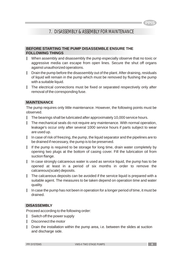### 7. DISASSEMBLY & ASSEMBLY FOR MAINTENANCE

#### **BEFORE STARTING THE PUMP DISASSEMBLE ENSURE THE FOLLOWING THINGS**

- When assembly and disassembly the pump especially observe that no toxic or aggressive media can escape from open lines. Secure the shut off organs against unauthorized operations.
- I Drain the pump before the disassembly out of the plant. After draining, residuals of liquid will remain in the pump which must be removed by flushing the pump with a suitable liquid.
- The electrical connections must be fixed or separated respectively only after removal of the corresponding fuse.

#### **MAINTENANCE**

The pump requires only little maintenance. However, the following points must be observed.

- The bearings shall be lubricated after approximately 10,000 service hours. y
- The mechanical seals do not require any maintenance. With normal operation, leakage's occur only after several 1000 service hours if parts subject to wear are used up. y
- $\|$  In case of risk of freezing, the pump, the liquid separator and the pipelines are to be drained if necessary, the pump is to be preserved.
- If the pump is required to be storage for long time, drain water completely by opening two plugs at the bottom of casing cover. Fill the lubrication oil from suction flange.
- In case strongly calcareous water is used as service liquid, the pump has to be opened at least in a period of six months in order to remove the calcareous(scale) deposits. y
- $\blacksquare$  The calcareous deposits can be avoided if the service liquid is prepared with a suitable agent. The measures to be taken depend on operation time and water quality.
- In case the pump has not been in operation for a longer period of time, it must be drained. y

#### **DISASSEMBLY**

Proceed according to the following order:

- Switch off the power supply y
- Disconnect the motor y
- Drain the installation within the pump area, i.e. between the slides at suction and discharge side. y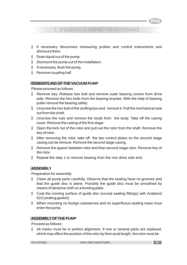**PPIS**

### 7. DISASSEMBLY & ASSEMBLY FOR MAINTENANCE

- y If necessary disconnect measuring probes and control instruments and dismount them.
- y Drain liquid out of the pump.
- y Dismount the pump out of the installation.
- y If necessary, flush the pump.
- | Remove coupling half

#### **DISMANTLING OF THE VACUUM PUMP**

Please proceed as follows:

- y Remove key. Release hex bolt and remove outer bearing covers from drive side. Remove the hex bolts from the bearing bracket. With the help of bearing puller remove the bearing safely.
- I Unscrew the hex bolt of the stuffing box and remove it. Pull the mechanical seal out from the shaft.
- I Unscrew the nuts and remove the studs from the body. Take off the casing cover. Remove the casing of the first stage.
- Open the lock nut of the rotor and pull out the rotor from the shaft. Remove the key of rotor.
- After removing the rotor, take off the two control plates so the second stage casing can be remove. Remove the second stage casing.
- Remove the spacer between rotor and than second stage rotor. Remove key of the rotor.
- Repeat the step 1 to remove bearing from the non drive side end.

### **ASSEMBLY**

Preparation for assembly:

- y Clean all pump parts carefully. Observe that the sealing have no grooves and that the guide disc is plane. Possibly the guide disc must be smoothed by means of abrasive cloth on a leveling plate.
- Coat the running surface of guide disc (except sealing fittings) with Anabond 610 (sealing gasket).
- When mounting no foreign substances and no superfluous sealing mass must enter the pump.

### **ASSEMBLY OF THE PUMP**

Proceed as follows:

y All marks must be in perfect alignment. If one or several parts are replaced, which may effect the position of the rotor by their axial length, the rotor must be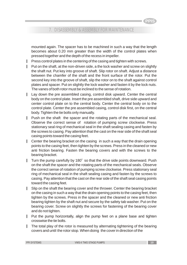### 7. DISASSEMBLY & ASSEMBLY FOR MAINTENANCE

mounted again. The spacer has to be machined in such a way that the length becomes about 0.20 mm greater than the width of the control plates when pressed together and the depth of the recess in impeller.

- Press control plates in the centering of the casing and tighten with screws. y
- Put on the shaft, at the non-driven side, a the lock washer and screw on slightly the shaft nut. Put key into groove of shaft. Slip rotor on shaft. Adjust a distance between the chamfer of the shaft and the front surface of the rotor. Put the second key into the groove of shaft, slip the rotor on to the shaft against control plates and spacer. Put on slightly the lock washer and fasten it by the lock nuts. The vanes of both rotor must be inclined to the sense of rotation. ı
- Lay down the pre assembled casing, control disk upward. Center the central body on the control plate. Insert the pre assembled shaft, drive side upward and center control plate on to the central body. Center the central body on to the control plate. Center the pre assembled casing, control disk first, on the central body. Tighten the tie bolts only manually. I.
- Push on the shaft the spacer and the rotating parts of the mechanical seal. Observe the correct sense of rotation of pumping screw clockwise. Press stationary seal ring of mechanical seal in the shaft sealing casing and fasten by the screws to casing. Pay attention that the cast on the rear side of the shaft seal casing points toward the casing feet. y
- Center the bearing bracket on the casing in such a way that the drain opening points to the casing feet, then tighten by the screws. Press in the cleaned or new anti friction bearing. Fasten the bearing covers and with the screws to the bearing bracket. y
- Turn the pump carefully by 180° so that the drive side points downward. Push on the shaft the spacer and the rotating parts of the mechanical seals. Observe the correct sense of rotation of pumping screw clockwise. Press stationary seal ring of mechanical seal in the shaft sealing casing and fasten by the screws to casing. Pay attention that the cast on the rear side of the shaft seal casing points toward the casing feet. ı.
- Slip on the shaft the bearing cover and the thrower. Center the bearing bracket on the casing in such a way that the drain opening points to the casing feet, then tighten by the screws. Press in the spacer and the cleaned or new anti friction bearing tighten by the shaft nut and secure by the safety tab washer. Put on the bearing cover. Screw on slightly the screws for fastening of the bearing cover and do not tighten. y
- Put the pump horizontally, align the pump feet on a plane base and tighten crosswise the tie bolts. y
- The total play of the rotor is measured by alternating tightening of the bearing covers and until the rotor stop. When doing the cover in direction of the y

**PPIS**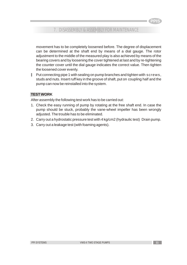### 7. DISASSEMBLY & ASSEMBLY FOR MAINTENANCE

movement has to be completely loosened before. The degree of displacement can be determined at the shaft end by means of a dial gauge. The rotor adjustment to the middle of the measured play is also achieved by means of the bearing covers and by loosening the cover tightened at last and by re-tightening the counter cover until the dial gauge indicates the correct value. Then tighten the loosened cover evenly.

Put connecting pipe 1 with sealing on pump branches and tighten with screws, studs and nuts. Insert ruff key in the groove of shaft, put on coupling half and the pump can now be reinstalled into the system. ı

### **TEST WORK**

After assembly the following test work has to be carried out:

- 1. Check the easy running of pump by rotating at the free shaft end. In case the pump should be stuck, probably the vane-wheel impeller has been wrongly adjusted. The trouble has to be eliminated.
- 2. Carry out a hydrostatic pressure test with 4 kg/cm2 (hydraulic test) Drain pump.
- 3. Carry out a leakage test (with foaming agents).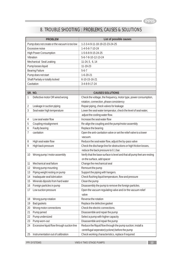# 8. TROUBLE SHOOTING : PROBLEMS, CAUSES & SOLUTIONS

| <b>PROBLEM</b>                                   | List of possible causes                                                  |
|--------------------------------------------------|--------------------------------------------------------------------------|
| Pump does not create or the vacuum is too low    | 1-2-3-4-9-11-18-19-22-23-24-25                                           |
| Excessive noise                                  | 1-4-5-6-7-10-24                                                          |
| <b>High Power Consumption</b>                    | 1-5-6-8-9-15-24-25                                                       |
| Vibration                                        | 5-6-7-8-10-12-13-24                                                      |
| Mechanical Seal Leaking                          | 11-24, 5, 6, 14                                                          |
| Pump looses liquid                               | 11-19-23                                                                 |
| <b>Bearing Failure</b>                           | $5 - 6 - 7$                                                              |
| Pump does not start                              | $1-6-20-21$                                                              |
| Shaft Partialy or totally locked                 | 6-10-15-16-21                                                            |
| Cavitation                                       | 3-4-8-9-17-24                                                            |
|                                                  |                                                                          |
| SR. NO.                                          | <b>CAUSES SOLUTIONS</b>                                                  |
| 1<br>Defective motor OR wired wrong              | Check the voltage, the frequency, motor type, power consumption,         |
|                                                  | rotation, connection, phase consistency                                  |
| Leakage in suction piping<br>2                   | Repair piping, check valves for leakage                                  |
| 3<br>Seal water high temperature                 | Lower the seal water temperatur, check the level of seal water,          |
|                                                  | adjust the cooling water flow.                                           |
| Low seal water flow<br>4                         | Increase the seal water flow                                             |
| 5<br>Coupling misalignment                       | Re-align the coupling and the pump/motor assembly                        |
| Faulty bearing<br>6                              | Replace the bearing                                                      |
| cavitation<br>7                                  | Open the anti-cavitation valve or set the relief valve to a lower        |
|                                                  | vacuum.                                                                  |
| High seal water flow<br>8                        | Reduce the seal water flow, adjust the by-pass valve                     |
| 9<br>High back pressure                          | Check the discharge line for obstructions or high friction losses,       |
|                                                  | reduce the back pressure to 0.1 bar.                                     |
| Wrong pump / motor assembly<br>10                | Verify that the base surface is level and that all pump feet are resting |
|                                                  | on the surface, add spacer                                               |
| Mechanical seal failure<br>11                    | Change the mechanical seal                                               |
| Wrong pump mounting<br>12                        | Remount the pump                                                         |
| Piping weight resting on pump<br>13              | Support the piping with hangers.                                         |
| Inadaquate seal lubrication<br>14                | Check flushing liquid temperature, flow and pressure                     |
| Minerals diposits from hard water<br>15          | Clean the pump                                                           |
| Foreign particles in pump<br>16                  | Disassembly the pump to remove the foreign particles.                    |
| Low suction pressure<br>17                       | Open the vacuum regulating valve and /or the vacuum relief               |
|                                                  | valve                                                                    |
| Wrong pump rotation<br>18                        | Reverse the rotation                                                     |
| <b>Bad gaskets</b><br>19                         | Replace the defective gasket                                             |
| Wrong motor connections<br>20                    | Check the electric connections.                                          |
| Pump jamed<br>21                                 | Disassemble and repair the pump                                          |
| Pump undersized<br>22                            | Select a pump with higher capacity                                       |
| 23<br>Pump worn-out                              | Disassemble and repair the pump                                          |
| Excessive liquid flow through suction line<br>24 | Reduce the fliquid flow through the pump suction; install a              |
|                                                  | centrifugal seperator(cyclone) before the pump                           |
| Instrumentation out of calibration<br>25         | Check working characteristics, replace if required                       |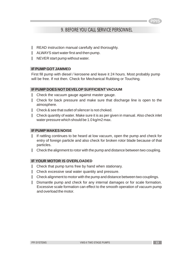### 9. BEFORE YOU CALL SERVICE PERSONNEL

- READ instruction manual carefully and thoroughly. y
- ALWAYS start water first and then pump. y
- NEVER start pump without water. y

#### **IF PUMP GOT JAMMED**

First fill pump with diesel / kerosene and leave it 24 hours. Most probably pump will be free. If not then. Check for Mechanical Rubbing or Touching.

#### **IF PUMP DOES NOT DEVELOP SUFFICIENT VACUUM**

- Check the vacuum gauge against master gauge. y
- Check for back pressure and make sure that discharge line is open to the atmosphere. y
- Check & see that outlet of silencer is not choked. y
- Check quantity of water. Make sure it is as per given in manual. Also check inlet water pressure which should be 1.0 kg/m2 max. y

#### **IF PUMP MAKES NOISE**

- If rattling continues to be heard at low vacuum, open the pump and check for entry of foreign particle and also check for broken rotor blade because of that particles. y
- I Check the alignment to rotor with the pump and distance between two coupling.

#### **IF YOUR MOTOR IS OVERLOADED**

- I Check that pump turns free by hand when stationary.
- I Check excessive seal water quantity and pressure.
- Check alignment to motor with the pump and distance between two couplings. y
- Dismantle pump and check for any internal damages or for scale formation. Excessive scale formation can effect to the smooth operation of vacuum pump and overload the motor. y

**PPIS**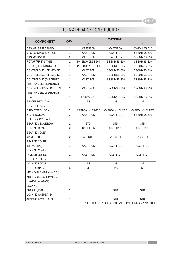# 10. MATERIAL OF CONSTRUCTION

| <b>COMPONENT</b>               | <b>QTY</b>     | <b>MATERIAL</b>   |                   |                   |
|--------------------------------|----------------|-------------------|-------------------|-------------------|
|                                |                | A                 | $\mathsf C$       | S                 |
| CASING (FIRST STAGE)           | 1              | <b>CAST IRON</b>  | <b>CAST IRON</b>  | SS-304 / SS-316   |
| CASING (SECOND STAGE)          | 1              | <b>CASTIRON</b>   | <b>CASTIRON</b>   | SS-304/SS-316     |
| CASING COVER                   | $\overline{2}$ | <b>CASTIRON</b>   | <b>CASTIRON</b>   | SS-304/SS-316     |
| ROTOR (FIRST STAGE)            | $\mathbf{1}$   | PH. BRONZE SS-304 | SS-304/SS-316     | SS-304/SS-316     |
| ROTOR (SECOND STAGE)           | $\mathbf{1}$   | PH. BRONZE SS-304 | SS-304/SS-316     | SS-304/SS-316     |
| CONTROLDISC (DRIVE SIDE)       | $\mathbf{1}$   | <b>CASTIRON</b>   | SS-304/SS-316     | SS-304/SS-316     |
| CONTROLDISC (CLOSE SIDE)       | 1              | <b>CASTIRON</b>   | SS-304/SS-316     | SS-304/SS-316     |
| CONTROL DISC (D-SIDE BET'N     | $\mathbf{1}$   | <b>CASTIRON</b>   | SS-304/SS-316     | SS-304/SS-316     |
| FIRST AND SECOND ROTOR)        |                |                   |                   |                   |
| CONTROL DISC(C-SIDE BET'N      | $\mathbf{1}$   | <b>CASTIRON</b>   | SS-304/SS-316     | SS-304/SS-316     |
| FIRST AND SECOND ROTOR)        |                |                   |                   |                   |
| <b>SHAFT</b>                   | $\mathbf{1}$   | EN-8/SS-316       | SS-304/SS-316     | SS-304/SS-316     |
| SPACER(BET'N TWO               | $\mathbf{1}$   | SS                | SS                | SS                |
| CONTROLDISC)                   |                |                   |                   |                   |
| SINGLE MECH. SEAL              | $\overline{2}$ | CARBON Vs. BUME 5 | CARBON Vs. BUME 5 | CARBON Vs. BUME 5 |
| STUFFING BOX.                  | $\overline{2}$ | <b>CASTIRON</b>   | <b>CASTIRON</b>   | SS-304/SS-316     |
| <b>DEEP GROOVE BALL</b>        |                |                   |                   |                   |
| <b>BEARING SINGLE ROW</b>      | $\overline{2}$ | STD.              | STD.              | STD.              |
| <b>BEARING BRACKET</b>         | $\overline{2}$ | <b>CAST IRON</b>  | <b>CAST IRON</b>  | <b>CAST IRON</b>  |
| <b>BEARING COVER</b>           |                |                   |                   |                   |
| (INNER SIDE)                   | $\overline{2}$ | <b>CAST STEEL</b> | CAST STEEL        | <b>CAST STEEL</b> |
| <b>BEARING COVER</b>           |                |                   |                   |                   |
| (DRIVE SIDE)                   | $\mathbf{1}$   | <b>CASTIRON</b>   | <b>CASTIRON</b>   | <b>CASTIRON</b>   |
| <b>BEARING COVER</b>           |                |                   |                   |                   |
| (NON DRIVE SIDE)               | $\mathbf{1}$   | <b>CASTIRON</b>   | <b>CASTIRON</b>   | <b>CASTIRON</b>   |
| ROTOR NUT FOR                  |                |                   |                   |                   |
| LOCKING ROTOR                  | $\overline{2}$ | SS                | SS                | SS                |
| STUD FOR PUMP                  | 6              | <b>MS</b>         | <b>MS</b>         | SS                |
| M12 X 365 LONG (for vws-75II)  |                |                   |                   |                   |
| M16 X 420 LONG (for vws-100II, |                |                   |                   |                   |
| vws-150II, vws-200II)          |                |                   |                   |                   |
| <b>LOCK NUT</b>                |                |                   |                   |                   |
| M40 X 1.5, KM8                 | $\mathbf{1}$   | STD.              | STD.              | STD.              |
| LOCKING WASHER I.D.            |                |                   |                   |                   |
| 40 mm X 1.5 mm THK., MB 8      | 1              | STD.              | STD.              | STD.              |

SUBJECT TO CHANGE WITHOUT PRIOR NOTICE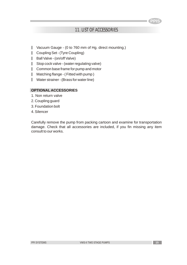### 11. LIST OF ACCESSORIES

- Vacuum Gauge (0 to 760 mm of Hg. direct mounting.) y
- Coupling Set (Tyre Coupling) y
- Ball Valve (on/off Valve) y
- Stop cock valve (water regulating valve) y
- Common base frame for pump and motor y
- Matching flange ( Fitted with pump ) y
- Water strainer (Brass for water line) y

### **OPTIONAL ACCESSORIES**

- 1. Non return valve
- 2. Coupling guard
- 3. Foundation bolt
- 4. Silencer

Carefully remove the pump from packing cartoon and examine for transportation damage. Check that all accessories are included, if you fin missing any item consult to our works.

**PPIS**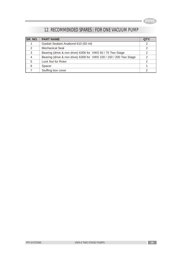# 12. RECOMMENDED SPARES : FOR ONE VACUUM PUMP

| SR. NO.        | <b>PART NAME</b>                                                   | QTY. |
|----------------|--------------------------------------------------------------------|------|
|                | Gasket Sealant Anabond 610 (50 ml)                                 | 2    |
| $\mathcal{P}$  | <b>Mechanical Seal</b>                                             | 2    |
| 3              | Bearing (drive & non drive) 6306 for VWS 50 / 75 Two Stage         | っ    |
| $\overline{4}$ | Bearing (drive & non drive) 6308 for VWS 100 / 150 / 200 Two Stage |      |
| 5              | Lock Nut for Rotor                                                 | っ    |
| 6              | Spacer                                                             |      |
|                | Stuffing box cover                                                 |      |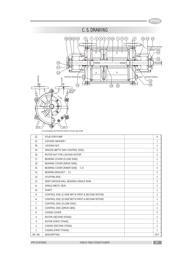

CLOCKWISE ROTATION FROM COUPLING END

| 22.              | <b>STUD FOR PUMP</b>                             | 6              |
|------------------|--------------------------------------------------|----------------|
| 21.              | <b>LOCKING WASHER I.</b>                         | 1              |
| 20.              | <b>LOCKING NUT</b>                               | 1              |
| 19.              | SPACER (BET'N TWO CONTROL DISC)                  | $\mathbf{1}$   |
| 18.              | ROTOR NUT FOR LOCKING ROTOR                      | $\overline{2}$ |
| 17.              | BEARING COVER (CLOSE SIDE).                      | $\mathbf{1}$   |
| 16.              | BEARING COVER (DRIVE SIDE).                      | 1              |
| 15.              | BEARING COVER (INNER SIDE) - C S                 | $\overline{2}$ |
| 14.              | <b>BEARING BRACKET. - C1</b>                     | $\overline{2}$ |
| 13.              | STUFFING BOX.                                    | $\overline{2}$ |
| 12.              | DEEP GROOVE BALL BEARING SINGLE ROW              | $\overline{2}$ |
| 11.              | SINGLE MECH. SEAL                                | $\overline{2}$ |
| 10.              | <b>SHAFT</b>                                     | $\mathbf{1}$   |
| 9.               | CONTROL DISC (C-SIDE BET'N FIRST & SECOND ROTOR) | $\mathbf{1}$   |
| 8.               | CONTROL DISC (D-SIDE BET'N FIRST & SECOND ROTOR) | 1              |
| 7 <sub>1</sub>   | CONTROL DISC (CLOSE DISC)                        | 1              |
| 6.               | CONTROL DISC (DRIVE SIDE)                        | 1              |
| 5.               | <b>CASING COVER</b>                              | $\overline{2}$ |
| 4.               | ROTOR (SECOND STAGE)                             | 1              |
| 3.               | ROTOR (FIRST STAGE)                              | 1              |
| $\overline{2}$ . | CASING (SECOND STAGE)                            | $\mathbf{1}$   |
| $\mathbf{1}$ .   | CASING (FIRST STAGE)                             | $\mathbf{1}$   |
| SR. NO.          | <b>DESCRIPTION</b>                               | QTY.           |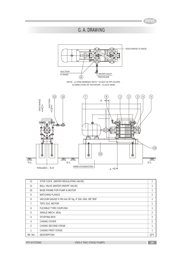# G. A. DRAWING



| 12.              | STOP COCK (WATER REGULATING VALVE)                 | 1    |
|------------------|----------------------------------------------------|------|
| 11.              | BALL VALVE (WATER ON/OFF VALVE)                    | 1    |
| 10.              | BASE FRAME FOR PUMP & MOTOR                        | 1    |
| 9.               | <b>MATCHING FLANCE</b>                             | 2    |
| 8.               | VACUUM GAUGE 0-760 mm OF Hq. 4" DIA. DIAL 3/8" BSP | 1    |
| 7 <sub>1</sub>   | TEFC ELE. MOTOR                                    | 1    |
| 6.               | <b>FLEXIBLE TYRE COUPLING</b>                      | 1    |
| 5.               | SINGLE MECH. SEAL                                  | 2    |
| $\overline{4}$ . | STUFFING BOX                                       | 2    |
| 3.               | CASING COVER                                       | 2    |
| 2.               | CASING SECOND STAGE                                | 1    |
| 1.               | <b>CASING FIRST STAGE</b>                          | 1    |
| SR. NO.          | <b>DESCRIPTION</b>                                 | QTY. |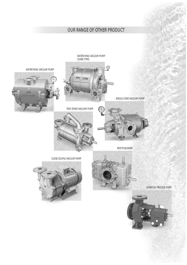# OUR RANGE OF OTHER PRODUCT





CHEMICAL PROCESS PUMP